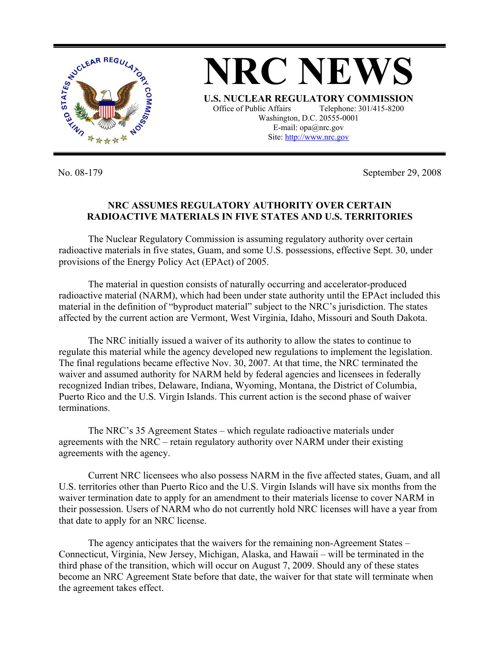

**NRC NEWS U.S. NUCLEAR REGULATORY COMMISSION** Office of Public Affairs Telephone: 301/415-8200 Washington, D.C. 20555-0001 E-mail: opa@nrc.gov Site: http://www.nrc.gov

No. 08-179 September 29, 2008

## **NRC ASSUMES REGULATORY AUTHORITY OVER CERTAIN RADIOACTIVE MATERIALS IN FIVE STATES AND U.S. TERRITORIES**

The Nuclear Regulatory Commission is assuming regulatory authority over certain radioactive materials in five states, Guam, and some U.S. possessions, effective Sept. 30, under provisions of the Energy Policy Act (EPAct) of 2005.

 The material in question consists of naturally occurring and accelerator-produced radioactive material (NARM), which had been under state authority until the EPAct included this material in the definition of "byproduct material" subject to the NRC's jurisdiction. The states affected by the current action are Vermont, West Virginia, Idaho, Missouri and South Dakota.

The NRC initially issued a waiver of its authority to allow the states to continue to regulate this material while the agency developed new regulations to implement the legislation. The final regulations became effective Nov. 30, 2007. At that time, the NRC terminated the waiver and assumed authority for NARM held by federal agencies and licensees in federally recognized Indian tribes, Delaware, Indiana, Wyoming, Montana, the District of Columbia, Puerto Rico and the U.S. Virgin Islands. This current action is the second phase of waiver terminations.

The NRC's 35 Agreement States – which regulate radioactive materials under agreements with the NRC – retain regulatory authority over NARM under their existing agreements with the agency.

Current NRC licensees who also possess NARM in the five affected states, Guam, and all U.S. territories other than Puerto Rico and the U.S. Virgin Islands will have six months from the waiver termination date to apply for an amendment to their materials license to cover NARM in their possession. Users of NARM who do not currently hold NRC licenses will have a year from that date to apply for an NRC license.

The agency anticipates that the waivers for the remaining non-Agreement States – Connecticut, Virginia, New Jersey, Michigan, Alaska, and Hawaii – will be terminated in the third phase of the transition, which will occur on August 7, 2009. Should any of these states become an NRC Agreement State before that date, the waiver for that state will terminate when the agreement takes effect.